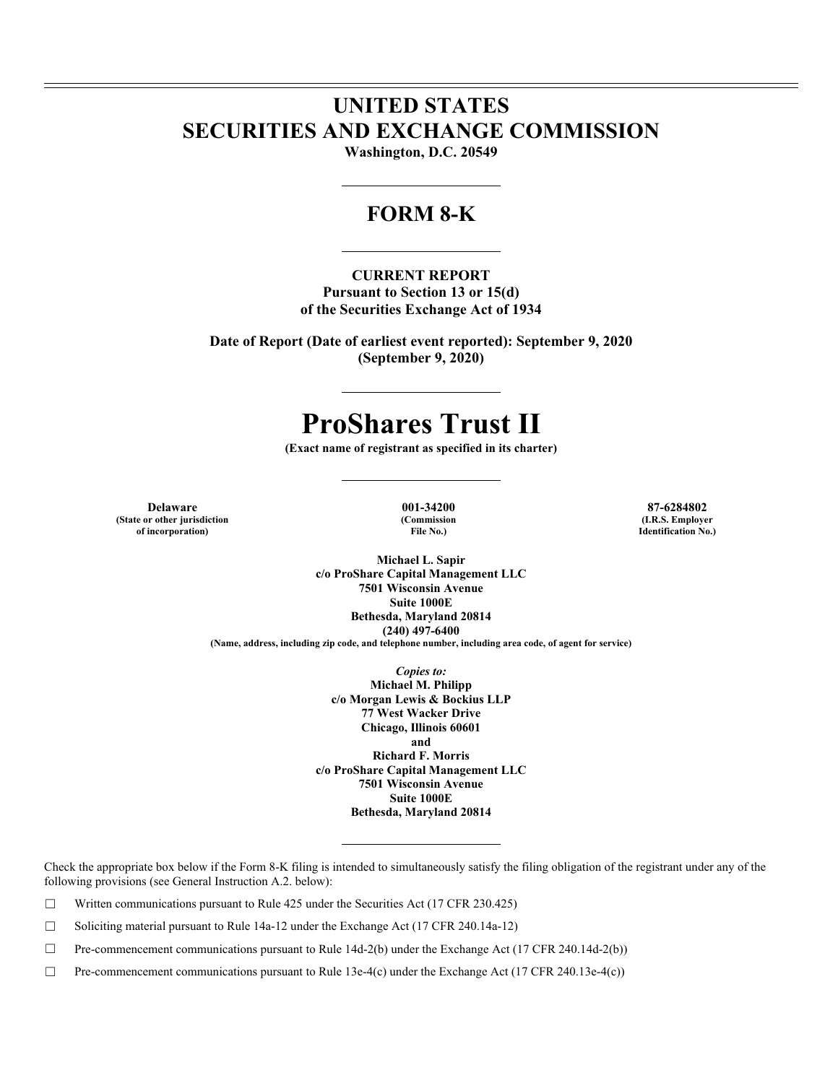## **UNITED STATES SECURITIES AND EXCHANGE COMMISSION**

**Washington, D.C. 20549** 

### **FORM 8-K**

#### **CURRENT REPORT**

**Pursuant to Section 13 or 15(d) of the Securities Exchange Act of 1934** 

**Date of Report (Date of earliest event reported): September 9, 2020 (September 9, 2020)** 

# **ProShares Trust II**

**(Exact name of registrant as specified in its charter)** 

**Delaware 001-34200 87-6284802 (State or other jurisdiction of incorporation)**

**(Commission File No.)**

**(I.R.S. Employer Identification No.)**

**Michael L. Sapir c/o ProShare Capital Management LLC 7501 Wisconsin Avenue Suite 1000E Bethesda, Maryland 20814 (240) 497-6400 (Name, address, including zip code, and telephone number, including area code, of agent for service)** 

> *Copies to:*  **Michael M. Philipp c/o Morgan Lewis & Bockius LLP 77 West Wacker Drive Chicago, Illinois 60601 and Richard F. Morris c/o ProShare Capital Management LLC 7501 Wisconsin Avenue Suite 1000E Bethesda, Maryland 20814**

Check the appropriate box below if the Form 8-K filing is intended to simultaneously satisfy the filing obligation of the registrant under any of the following provisions (see General Instruction A.2. below):

 $\Box$  Written communications pursuant to Rule 425 under the Securities Act (17 CFR 230.425)

 $\Box$  Soliciting material pursuant to Rule 14a-12 under the Exchange Act (17 CFR 240.14a-12)

☐ Pre-commencement communications pursuant to Rule 14d-2(b) under the Exchange Act (17 CFR 240.14d-2(b))

☐ Pre-commencement communications pursuant to Rule 13e-4(c) under the Exchange Act (17 CFR 240.13e-4(c))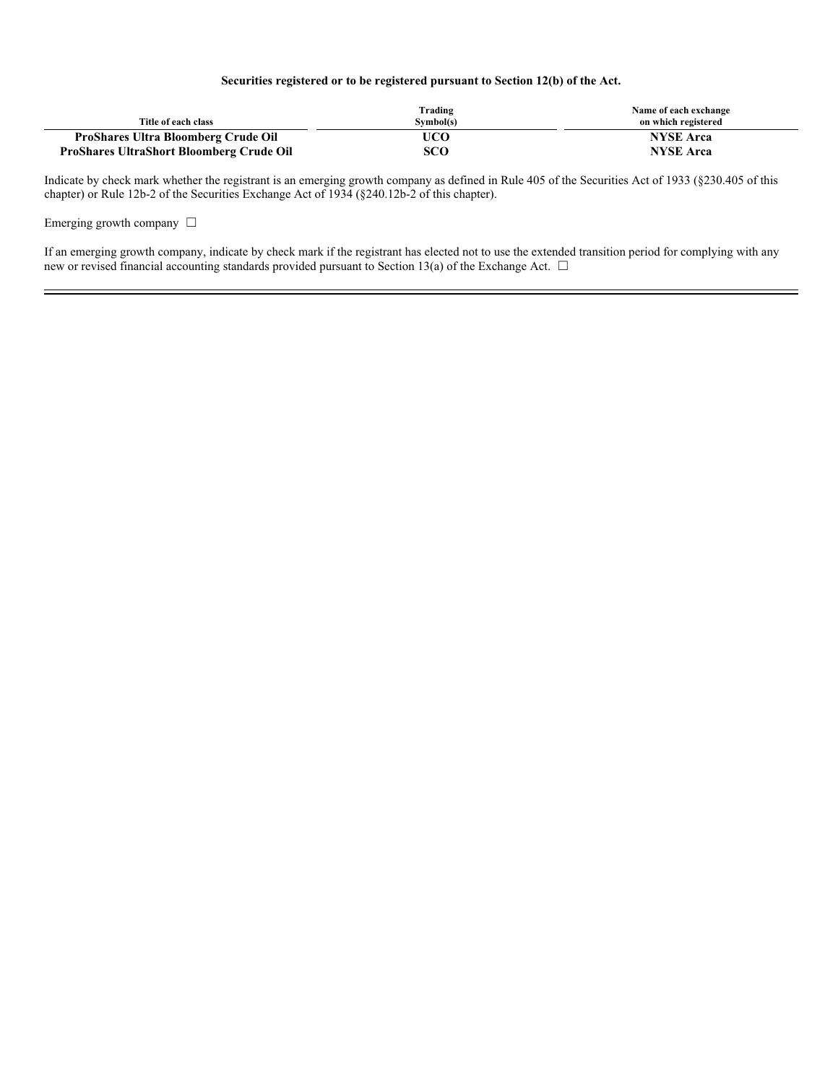#### **Securities registered or to be registered pursuant to Section 12(b) of the Act.**

| Title of each class                             | Trading<br>Symbol(s) | Name of each exchange<br>on which registered |
|-------------------------------------------------|----------------------|----------------------------------------------|
| <b>ProShares Ultra Bloomberg Crude Oil</b>      | UCO                  | <b>NYSE</b> Arca                             |
| <b>ProShares UltraShort Bloomberg Crude Oil</b> | sco                  | <b>NYSE</b> Arca                             |

Indicate by check mark whether the registrant is an emerging growth company as defined in Rule 405 of the Securities Act of 1933 (§230.405 of this chapter) or Rule 12b-2 of the Securities Exchange Act of 1934 (§240.12b-2 of this chapter).

Emerging growth company  $\Box$ 

If an emerging growth company, indicate by check mark if the registrant has elected not to use the extended transition period for complying with any new or revised financial accounting standards provided pursuant to Section 13(a) of the Exchange Act. □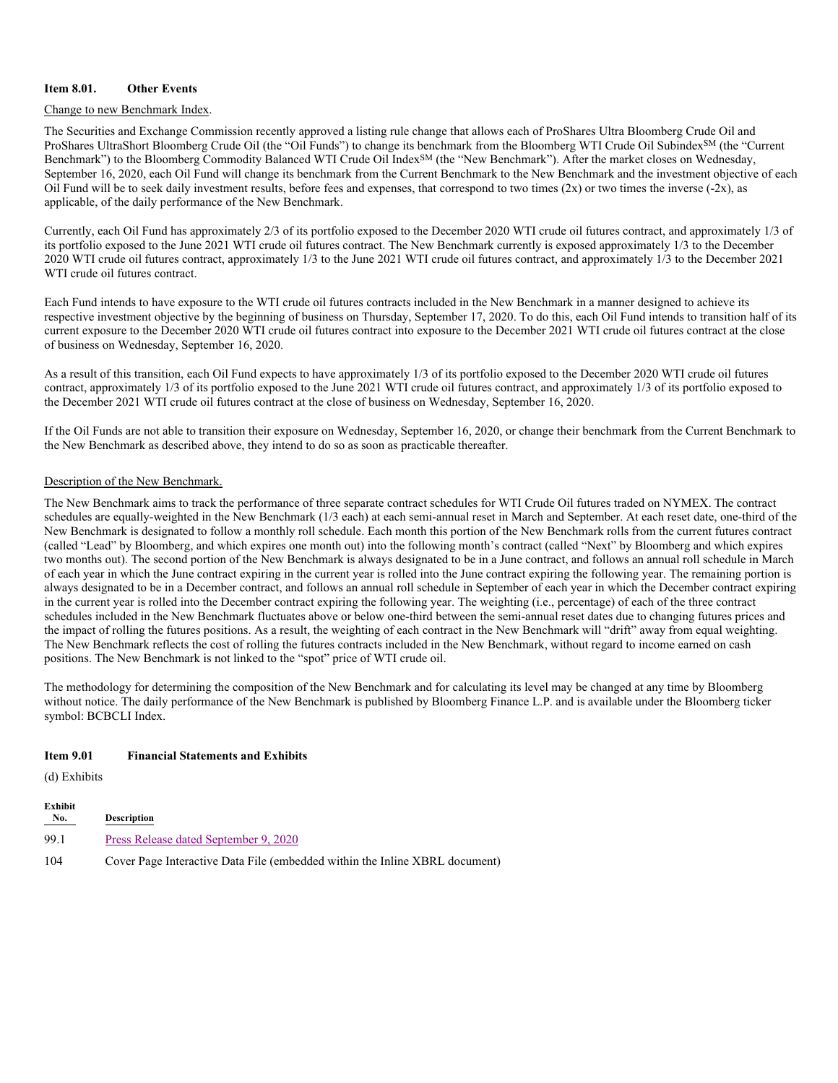#### **Item 8.01. Other Events**

#### Change to new Benchmark Index.

The Securities and Exchange Commission recently approved a listing rule change that allows each of ProShares Ultra Bloomberg Crude Oil and ProShares UltraShort Bloomberg Crude Oil (the "Oil Funds") to change its benchmark from the Bloomberg WTI Crude Oil Subindex<sup>SM</sup> (the "Current Benchmark") to the Bloomberg Commodity Balanced WTI Crude Oil Index<sup>SM</sup> (the "New Benchmark"). After the market closes on Wednesday, September 16, 2020, each Oil Fund will change its benchmark from the Current Benchmark to the New Benchmark and the investment objective of each Oil Fund will be to seek daily investment results, before fees and expenses, that correspond to two times  $(2x)$  or two times the inverse  $(-2x)$ , as applicable, of the daily performance of the New Benchmark.

Currently, each Oil Fund has approximately 2/3 of its portfolio exposed to the December 2020 WTI crude oil futures contract, and approximately 1/3 of its portfolio exposed to the June 2021 WTI crude oil futures contract. The New Benchmark currently is exposed approximately 1/3 to the December 2020 WTI crude oil futures contract, approximately 1/3 to the June 2021 WTI crude oil futures contract, and approximately 1/3 to the December 2021 WTI crude oil futures contract.

Each Fund intends to have exposure to the WTI crude oil futures contracts included in the New Benchmark in a manner designed to achieve its respective investment objective by the beginning of business on Thursday, September 17, 2020. To do this, each Oil Fund intends to transition half of its current exposure to the December 2020 WTI crude oil futures contract into exposure to the December 2021 WTI crude oil futures contract at the close of business on Wednesday, September 16, 2020.

As a result of this transition, each Oil Fund expects to have approximately 1/3 of its portfolio exposed to the December 2020 WTI crude oil futures contract, approximately 1/3 of its portfolio exposed to the June 2021 WTI crude oil futures contract, and approximately 1/3 of its portfolio exposed to the December 2021 WTI crude oil futures contract at the close of business on Wednesday, September 16, 2020.

If the Oil Funds are not able to transition their exposure on Wednesday, September 16, 2020, or change their benchmark from the Current Benchmark to the New Benchmark as described above, they intend to do so as soon as practicable thereafter.

#### Description of the New Benchmark.

The New Benchmark aims to track the performance of three separate contract schedules for WTI Crude Oil futures traded on NYMEX. The contract schedules are equally-weighted in the New Benchmark (1/3 each) at each semi-annual reset in March and September. At each reset date, one-third of the New Benchmark is designated to follow a monthly roll schedule. Each month this portion of the New Benchmark rolls from the current futures contract (called "Lead" by Bloomberg, and which expires one month out) into the following month's contract (called "Next" by Bloomberg and which expires two months out). The second portion of the New Benchmark is always designated to be in a June contract, and follows an annual roll schedule in March of each year in which the June contract expiring in the current year is rolled into the June contract expiring the following year. The remaining portion is always designated to be in a December contract, and follows an annual roll schedule in September of each year in which the December contract expiring in the current year is rolled into the December contract expiring the following year. The weighting (i.e., percentage) of each of the three contract schedules included in the New Benchmark fluctuates above or below one-third between the semi-annual reset dates due to changing futures prices and the impact of rolling the futures positions. As a result, the weighting of each contract in the New Benchmark will "drift" away from equal weighting. The New Benchmark reflects the cost of rolling the futures contracts included in the New Benchmark, without regard to income earned on cash positions. The New Benchmark is not linked to the "spot" price of WTI crude oil.

The methodology for determining the composition of the New Benchmark and for calculating its level may be changed at any time by Bloomberg without notice. The daily performance of the New Benchmark is published by Bloomberg Finance L.P. and is available under the Bloomberg ticker symbol: BCBCLI Index.

#### **Item 9.01 Financial Statements and Exhibits**

(d) Exhibits

| Exhibit<br>$N_{0}$ . | <b>Description</b>                                                          |
|----------------------|-----------------------------------------------------------------------------|
| 99.1                 | Press Release dated September 9, 2020                                       |
| 104                  | Cover Page Interactive Data File (embedded within the Inline XBRL document) |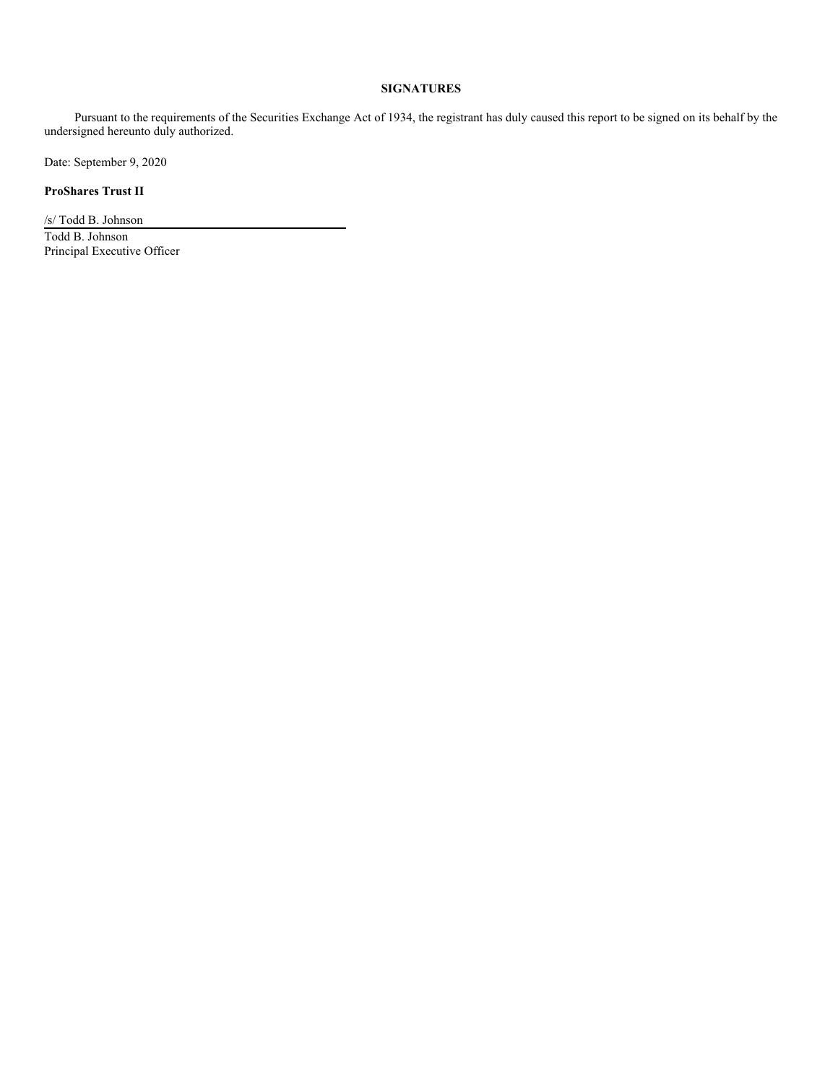#### **SIGNATURES**

Pursuant to the requirements of the Securities Exchange Act of 1934, the registrant has duly caused this report to be signed on its behalf by the undersigned hereunto duly authorized.

Date: September 9, 2020

**ProShares Trust II**

/s/ Todd B. Johnson Todd B. Johnson Principal Executive Officer